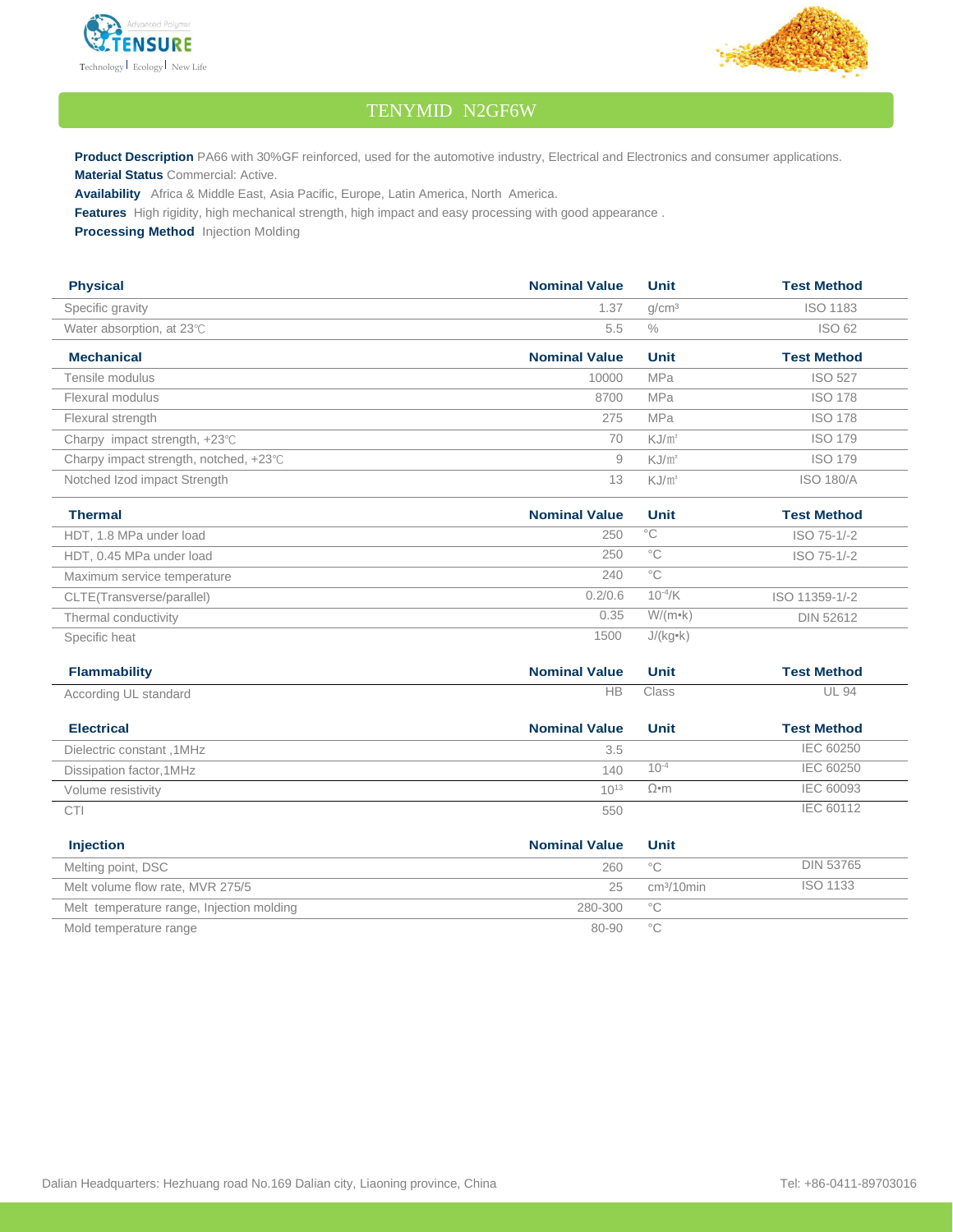



## TENYMID N2GF6W

Product Description PA66 with 30%GF reinforced, used for the automotive industry, Electrical and Electronics and consumer applications. **Material Status** Commercial: Active.

**Availability** Africa & Middle East, Asia Pacific, Europe, Latin America, North America.

**Features** High rigidity, high mechanical strength, high impact and easy processing with good appearance .

**Processing Method** Injection Molding

| <b>Physical</b>                                  | <b>Nominal Value</b> | Unit              | <b>Test Method</b> |
|--------------------------------------------------|----------------------|-------------------|--------------------|
| Specific gravity                                 | 1.37                 | q/cm <sup>3</sup> | <b>ISO 1183</b>    |
| Water absorption, at $23^{\circ}$ C              | 5.5                  | $\%$              | <b>ISO 62</b>      |
| <b>Mechanical</b>                                | <b>Nominal Value</b> | Unit              | <b>Test Method</b> |
| Tensile modulus                                  | 10000                | <b>MPa</b>        | <b>ISO 527</b>     |
| Flexural modulus                                 | 8700                 | <b>MPa</b>        | <b>ISO 178</b>     |
| Flexural strength                                | 275                  | <b>MPa</b>        | <b>ISO 178</b>     |
| Charpy impact strength, $+23^{\circ}$ C          | 70                   | KJ/m <sup>2</sup> | <b>ISO 179</b>     |
| Charpy impact strength, notched, $+23^{\circ}$ C | 9                    | KJ/m <sup>2</sup> | <b>ISO 179</b>     |
| Notched Izod impact Strength                     | 13                   | KJ/m <sup>2</sup> | <b>ISO 180/A</b>   |

| <b>Thermal</b>              | <b>Nominal Value</b> | Unit                | <b>Test Method</b> |
|-----------------------------|----------------------|---------------------|--------------------|
| HDT, 1.8 MPa under load     | 250                  | °C                  | ISO 75-1/-2        |
| HDT, 0.45 MPa under load    | 250                  | °C                  | ISO 75-1/-2        |
| Maximum service temperature | 240                  | °€                  |                    |
| CLTE(Transverse/parallel)   | 0.2/0.6              | 10 <sup>-4</sup> /K | ISO 11359-1/-2     |
| Thermal conductivity        | 0.35                 | $W/(m \cdot k)$     | DIN 52612          |
| Specific heat               | 1500                 | $J/(kg \cdot k)$    |                    |

| <b>Flammability</b>       | <b>Nominal Value</b> | Unit        | <b>Test Method</b> |
|---------------------------|----------------------|-------------|--------------------|
| According UL standard     | НB                   | Class       | <b>UL 94</b>       |
| <b>Electrical</b>         | <b>Nominal Value</b> | Unit        | <b>Test Method</b> |
| Dielectric constant, 1MHz | 3.5                  |             | IEC 60250          |
| Dissipation factor, 1MHz  | 140                  | $10^{-4}$   | IEC 60250          |
| Volume resistivity        | $10^{13}$            | $\Omega$ •m | IEC 60093          |
| CTI                       | 550                  |             | IEC 60112          |

| <b>Injection</b>                          | <b>Nominal Value</b> | Unit                   |                  |
|-------------------------------------------|----------------------|------------------------|------------------|
| Melting point, DSC                        | 260                  | $^{\circ}$ C           | <b>DIN 53765</b> |
| Melt volume flow rate, MVR 275/5          | 25                   | cm <sup>3</sup> /10min | ISO 1133         |
| Melt temperature range, Injection molding | 280-300              | $^{\circ}$ C           |                  |
| Mold temperature range                    | 80-90                | °С                     |                  |